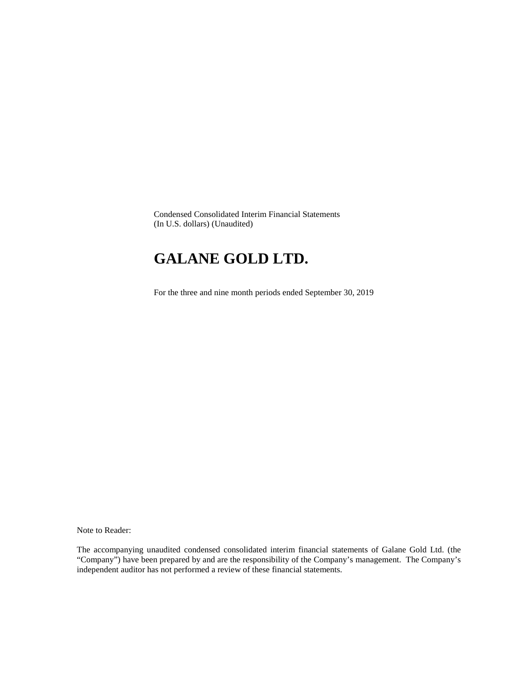Condensed Consolidated Interim Financial Statements (In U.S. dollars) (Unaudited)

# **GALANE GOLD LTD.**

For the three and nine month periods ended September 30, 2019

Note to Reader:

The accompanying unaudited condensed consolidated interim financial statements of Galane Gold Ltd. (the "Company") have been prepared by and are the responsibility of the Company's management. The Company's independent auditor has not performed a review of these financial statements.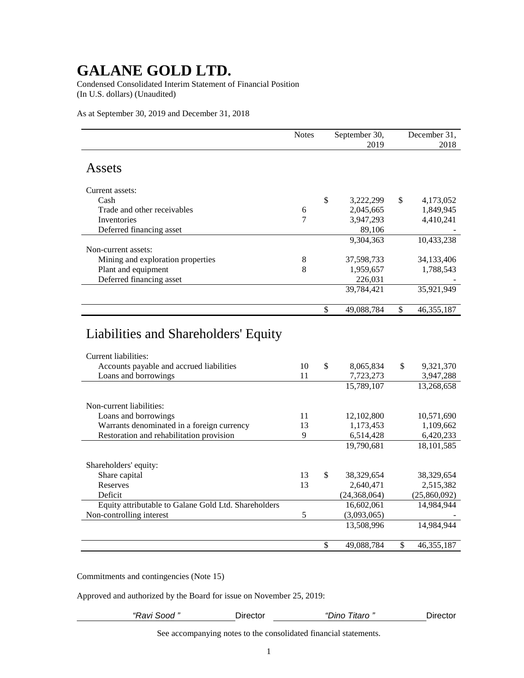Condensed Consolidated Interim Statement of Financial Position (In U.S. dollars) (Unaudited)

As at September 30, 2019 and December 31, 2018

|                                          | <b>Notes</b> |              | September 30, |              | December 31, |
|------------------------------------------|--------------|--------------|---------------|--------------|--------------|
|                                          |              |              | 2019          |              | 2018         |
| Assets                                   |              |              |               |              |              |
| Current assets:                          |              |              |               |              |              |
| Cash                                     |              | \$           | 3,222,299     | $\mathbb{S}$ | 4,173,052    |
| Trade and other receivables              | 6            |              | 2,045,665     |              | 1,849,945    |
| Inventories                              | 7            |              | 3,947,293     |              | 4,410,241    |
| Deferred financing asset                 |              |              | 89,106        |              |              |
|                                          |              |              | 9,304,363     |              | 10,433,238   |
| Non-current assets:                      |              |              |               |              |              |
| Mining and exploration properties        | 8            |              | 37,598,733    |              | 34,133,406   |
| Plant and equipment                      | 8            |              | 1,959,657     |              | 1,788,543    |
| Deferred financing asset                 |              |              | 226,031       |              |              |
|                                          |              |              | 39,784,421    |              | 35,921,949   |
|                                          |              | \$           | 49,088,784    | \$           | 46, 355, 187 |
| Liabilities and Shareholders' Equity     |              |              |               |              |              |
| Current liabilities:                     |              |              |               |              |              |
| Accounts payable and accrued liabilities | 10           | $\mathbb{S}$ | 8,065,834     | \$           | 9,321,370    |
| Loans and borrowings                     | 11           |              | 7,723,273     |              | 3,947,288    |
|                                          |              |              | 15,789,107    |              | 13,268,658   |
| Non-current liabilities:                 |              |              |               |              |              |

|                                                      |    | 19,702,107       | 19,200,090   |
|------------------------------------------------------|----|------------------|--------------|
| Non-current liabilities:                             |    |                  |              |
| Loans and borrowings                                 | 11 | 12,102,800       | 10,571,690   |
| Warrants denominated in a foreign currency           | 13 | 1.173.453        | 1,109,662    |
| Restoration and rehabilitation provision             | 9  | 6,514,428        | 6,420,233    |
|                                                      |    | 19,790,681       | 18, 101, 585 |
| Shareholders' equity:                                |    |                  |              |
| Share capital                                        | 13 | \$<br>38,329,654 | 38,329,654   |
| Reserves                                             | 13 | 2,640,471        | 2,515,382    |
| Deficit                                              |    | (24, 368, 064)   | (25,860,092) |
| Equity attributable to Galane Gold Ltd. Shareholders |    | 16,602,061       | 14.984.944   |
| Non-controlling interest                             | 5  | (3,093,065)      |              |
|                                                      |    | 13,508,996       | 14.984.944   |
|                                                      |    |                  |              |

Commitments and contingencies (Note 15)

Approved and authorized by the Board for issue on November 25, 2019:

*"Ravi Sood "* Director *"Dino Titaro "* Director

\$ 49,088,784 \$ 46,355,187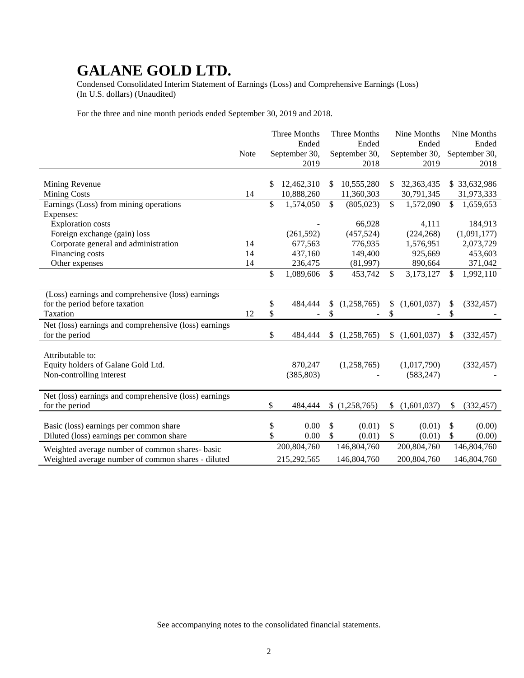Condensed Consolidated Interim Statement of Earnings (Loss) and Comprehensive Earnings (Loss) (In U.S. dollars) (Unaudited)

For the three and nine month periods ended September 30, 2019 and 2018.

|                                                       |             | Three Months     |               | Three Months  | Nine Months       |              | Nine Months   |
|-------------------------------------------------------|-------------|------------------|---------------|---------------|-------------------|--------------|---------------|
|                                                       |             | Ended            |               | Ended         | Ended             |              | Ended         |
|                                                       | <b>Note</b> | September 30,    |               | September 30, | September 30,     |              | September 30, |
|                                                       |             | 2019             |               | 2018          | 2019              |              | 2018          |
|                                                       |             |                  |               |               |                   |              |               |
| Mining Revenue                                        |             | \$<br>12,462,310 | S             | 10,555,280    | \$<br>32,363,435  |              | \$33,632,986  |
| <b>Mining Costs</b>                                   | 14          | 10,888,260       |               | 11,360,303    | 30,791,345        |              | 31,973,333    |
| Earnings (Loss) from mining operations                |             | \$<br>1,574,050  | \$            | (805, 023)    | \$<br>1,572,090   | $\mathbb{S}$ | 1,659,653     |
| Expenses:                                             |             |                  |               |               |                   |              |               |
| <b>Exploration costs</b>                              |             |                  |               | 66,928        | 4,111             |              | 184,913       |
| Foreign exchange (gain) loss                          |             | (261, 592)       |               | (457, 524)    | (224, 268)        |              | (1,091,177)   |
| Corporate general and administration                  | 14          | 677,563          |               | 776,935       | 1,576,951         |              | 2,073,729     |
| Financing costs                                       | 14          | 437,160          |               | 149,400       | 925,669           |              | 453,603       |
| Other expenses                                        | 14          | 236,475          |               | (81,997)      | 890,664           |              | 371,042       |
|                                                       |             | \$<br>1,089,606  | \$            | 453,742       | \$<br>3,173,127   | \$           | 1,992,110     |
|                                                       |             |                  |               |               |                   |              |               |
| (Loss) earnings and comprehensive (loss) earnings     |             |                  |               |               |                   |              |               |
| for the period before taxation                        |             | \$<br>484,444    | S             | (1,258,765)   | \$<br>(1,601,037) | S            | (332, 457)    |
| Taxation                                              | 12          | \$               | \$            |               | \$                | \$           |               |
| Net (loss) earnings and comprehensive (loss) earnings |             |                  |               |               |                   |              |               |
| for the period                                        |             | \$<br>484,444    | \$            | (1,258,765)   | \$<br>(1,601,037) | \$           | (332, 457)    |
|                                                       |             |                  |               |               |                   |              |               |
| Attributable to:                                      |             |                  |               |               |                   |              |               |
| Equity holders of Galane Gold Ltd.                    |             | 870,247          |               | (1,258,765)   | (1,017,790)       |              | (332, 457)    |
| Non-controlling interest                              |             | (385, 803)       |               |               | (583, 247)        |              |               |
|                                                       |             |                  |               |               |                   |              |               |
| Net (loss) earnings and comprehensive (loss) earnings |             |                  |               |               |                   |              |               |
| for the period                                        |             | \$<br>484,444    | \$            | (1,258,765)   | \$<br>(1,601,037) | \$           | (332, 457)    |
|                                                       |             |                  |               |               |                   |              |               |
| Basic (loss) earnings per common share                |             | \$<br>0.00       | \$            | (0.01)        | \$<br>(0.01)      | \$           | (0.00)        |
| Diluted (loss) earnings per common share              |             | \$<br>0.00       | <sup>\$</sup> | (0.01)        | \$<br>(0.01)      | \$           | (0.00)        |
| Weighted average number of common shares- basic       |             | 200,804,760      |               | 146,804,760   | 200,804,760       |              | 146,804,760   |
| Weighted average number of common shares - diluted    |             | 215,292,565      |               | 146,804,760   | 200,804,760       |              | 146,804,760   |
|                                                       |             |                  |               |               |                   |              |               |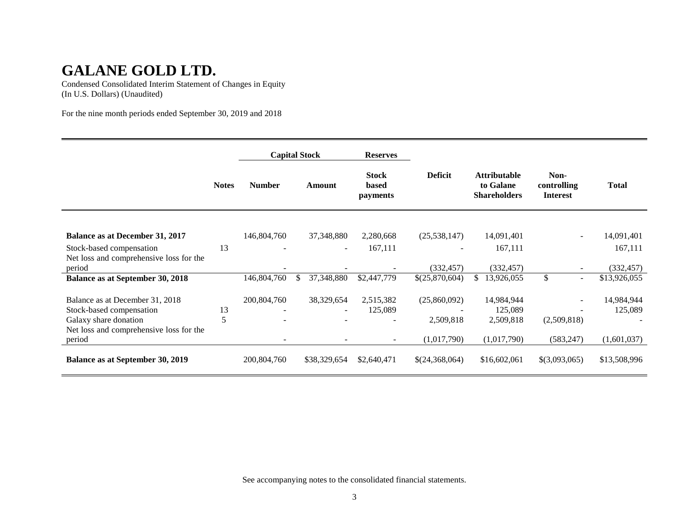Condensed Consolidated Interim Statement of Changes in Equity (In U.S. Dollars) (Unaudited)

For the nine month periods ended September 30, 2019 and 2018

|                                                   |              | <b>Capital Stock</b>     |                          | <b>Reserves</b>                          |                |                                                         |                                        |              |
|---------------------------------------------------|--------------|--------------------------|--------------------------|------------------------------------------|----------------|---------------------------------------------------------|----------------------------------------|--------------|
|                                                   | <b>Notes</b> | <b>Number</b>            | Amount                   | <b>Stock</b><br>based<br><i>payments</i> | <b>Deficit</b> | <b>Attributable</b><br>to Galane<br><b>Shareholders</b> | Non-<br>controlling<br><b>Interest</b> | <b>Total</b> |
|                                                   |              |                          |                          |                                          |                |                                                         |                                        |              |
| <b>Balance as at December 31, 2017</b>            |              | 146,804,760              | 37,348,880               | 2,280,668                                | (25, 538, 147) | 14,091,401                                              | $\overline{\phantom{a}}$               | 14,091,401   |
| Stock-based compensation                          | 13           |                          | $\overline{\phantom{a}}$ | 167,111                                  |                | 167,111                                                 |                                        | 167,111      |
| Net loss and comprehensive loss for the<br>period |              |                          |                          |                                          | (332, 457)     | (332, 457)                                              |                                        | (332, 457)   |
| <b>Balance as at September 30, 2018</b>           |              | 146,804,760              | \$<br>37,348,880         | \$2,447,779                              | \$(25,870,604) | 13,926,055<br>\$                                        | \$<br>$\sim$                           | \$13,926,055 |
|                                                   |              |                          |                          |                                          |                |                                                         |                                        |              |
| Balance as at December 31, 2018                   |              | 200,804,760              | 38,329,654               | 2,515,382                                | (25,860,092)   | 14,984,944                                              | $\overline{\phantom{a}}$               | 14,984,944   |
| Stock-based compensation                          | 13           | $\overline{\phantom{a}}$ | $\sim$                   | 125,089                                  |                | 125,089                                                 |                                        | 125,089      |
| Galaxy share donation                             | 5            |                          |                          |                                          | 2,509,818      | 2,509,818                                               | (2,509,818)                            |              |
| Net loss and comprehensive loss for the           |              |                          |                          |                                          |                |                                                         |                                        |              |
| period                                            |              | $\overline{\phantom{a}}$ | ۰                        | $\blacksquare$                           | (1,017,790)    | (1,017,790)                                             | (583, 247)                             | (1,601,037)  |
| <b>Balance as at September 30, 2019</b>           |              | 200,804,760              | \$38,329,654             | \$2,640,471                              | \$(24,368,064) | \$16,602,061                                            | \$(3,093,065)                          | \$13,508,996 |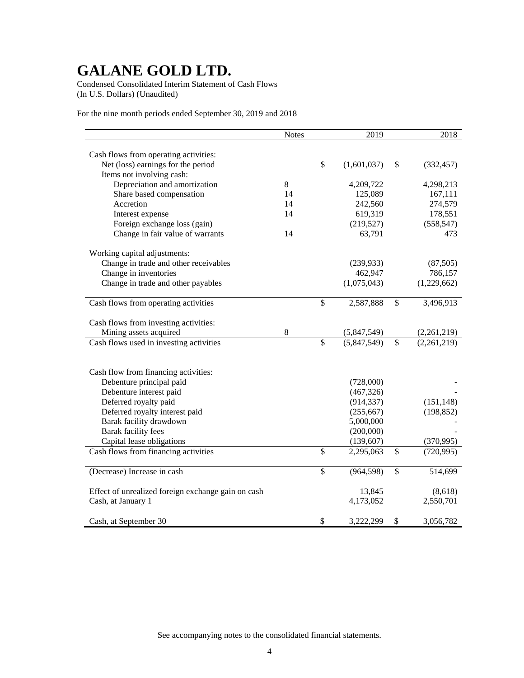Condensed Consolidated Interim Statement of Cash Flows (In U.S. Dollars) (Unaudited)

For the nine month periods ended September 30, 2019 and 2018

|                                                    | <b>Notes</b> |                          | 2019        |                          | 2018        |
|----------------------------------------------------|--------------|--------------------------|-------------|--------------------------|-------------|
|                                                    |              |                          |             |                          |             |
| Cash flows from operating activities:              |              |                          |             |                          |             |
| Net (loss) earnings for the period                 |              | $\mathbb{S}$             | (1,601,037) | \$                       | (332, 457)  |
| Items not involving cash:                          |              |                          |             |                          |             |
| Depreciation and amortization                      | 8            |                          | 4,209,722   |                          | 4,298,213   |
| Share based compensation                           | 14           |                          | 125,089     |                          | 167,111     |
| Accretion                                          | 14           |                          | 242,560     |                          | 274,579     |
| Interest expense                                   | 14           |                          | 619,319     |                          | 178,551     |
| Foreign exchange loss (gain)                       |              |                          | (219, 527)  |                          | (558, 547)  |
| Change in fair value of warrants                   | 14           |                          | 63,791      |                          | 473         |
| Working capital adjustments:                       |              |                          |             |                          |             |
| Change in trade and other receivables              |              |                          | (239, 933)  |                          | (87, 505)   |
| Change in inventories                              |              |                          | 462,947     |                          | 786,157     |
| Change in trade and other payables                 |              |                          | (1,075,043) |                          | (1,229,662) |
|                                                    |              |                          |             |                          |             |
| Cash flows from operating activities               |              | \$                       | 2,587,888   | \$                       | 3,496,913   |
| Cash flows from investing activities:              |              |                          |             |                          |             |
| Mining assets acquired                             | 8            |                          | (5,847,549) |                          | (2,261,219) |
| Cash flows used in investing activities            |              | $\overline{\$}$          | (5,847,549) | \$                       | (2,261,219) |
|                                                    |              |                          |             |                          |             |
| Cash flow from financing activities:               |              |                          |             |                          |             |
| Debenture principal paid                           |              |                          | (728,000)   |                          |             |
| Debenture interest paid                            |              |                          | (467, 326)  |                          |             |
| Deferred royalty paid                              |              |                          | (914, 337)  |                          | (151, 148)  |
| Deferred royalty interest paid                     |              |                          | (255, 667)  |                          | (198, 852)  |
| Barak facility drawdown                            |              |                          | 5,000,000   |                          |             |
| Barak facility fees                                |              |                          | (200,000)   |                          |             |
| Capital lease obligations                          |              |                          | (139, 607)  |                          | (370,995)   |
| Cash flows from financing activities               |              | \$                       | 2,295,063   | $\overline{\mathcal{S}}$ | (720, 995)  |
| (Decrease) Increase in cash                        |              | \$                       | (964, 598)  | \$                       | 514,699     |
|                                                    |              |                          |             |                          |             |
| Effect of unrealized foreign exchange gain on cash |              |                          | 13,845      |                          | (8,618)     |
| Cash, at January 1                                 |              |                          | 4,173,052   |                          | 2,550,701   |
| Cash, at September 30                              |              | $\overline{\mathcal{S}}$ | 3,222,299   | \$                       | 3,056,782   |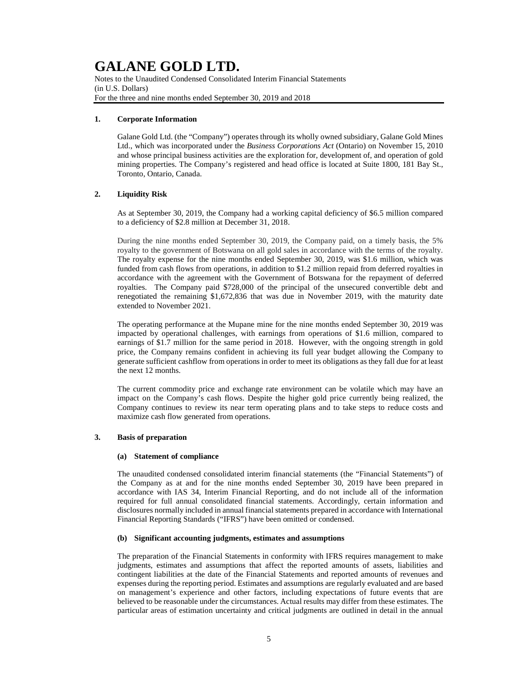Notes to the Unaudited Condensed Consolidated Interim Financial Statements (in U.S. Dollars) For the three and nine months ended September 30, 2019 and 2018

### **1. Corporate Information**

Galane Gold Ltd. (the "Company") operates through its wholly owned subsidiary, Galane Gold Mines Ltd., which was incorporated under the *Business Corporations Act* (Ontario) on November 15, 2010 and whose principal business activities are the exploration for, development of, and operation of gold mining properties. The Company's registered and head office is located at Suite 1800, 181 Bay St., Toronto, Ontario, Canada.

### **2. Liquidity Risk**

As at September 30, 2019, the Company had a working capital deficiency of \$6.5 million compared to a deficiency of \$2.8 million at December 31, 2018.

During the nine months ended September 30, 2019, the Company paid, on a timely basis, the 5% royalty to the government of Botswana on all gold sales in accordance with the terms of the royalty. The royalty expense for the nine months ended September 30, 2019, was \$1.6 million, which was funded from cash flows from operations, in addition to \$1.2 million repaid from deferred royalties in accordance with the agreement with the Government of Botswana for the repayment of deferred royalties. The Company paid \$728,000 of the principal of the unsecured convertible debt and renegotiated the remaining \$1,672,836 that was due in November 2019, with the maturity date extended to November 2021.

The operating performance at the Mupane mine for the nine months ended September 30, 2019 was impacted by operational challenges, with earnings from operations of \$1.6 million, compared to earnings of \$1.7 million for the same period in 2018. However, with the ongoing strength in gold price, the Company remains confident in achieving its full year budget allowing the Company to generate sufficient cashflow from operations in order to meet its obligations as they fall due for at least the next 12 months.

The current commodity price and exchange rate environment can be volatile which may have an impact on the Company's cash flows. Despite the higher gold price currently being realized, the Company continues to review its near term operating plans and to take steps to reduce costs and maximize cash flow generated from operations.

### **3. Basis of preparation**

#### **(a) Statement of compliance**

The unaudited condensed consolidated interim financial statements (the "Financial Statements") of the Company as at and for the nine months ended September 30, 2019 have been prepared in accordance with IAS 34, Interim Financial Reporting, and do not include all of the information required for full annual consolidated financial statements. Accordingly, certain information and disclosures normally included in annual financial statements prepared in accordance with International Financial Reporting Standards ("IFRS") have been omitted or condensed.

#### **(b) Significant accounting judgments, estimates and assumptions**

The preparation of the Financial Statements in conformity with IFRS requires management to make judgments, estimates and assumptions that affect the reported amounts of assets, liabilities and contingent liabilities at the date of the Financial Statements and reported amounts of revenues and expenses during the reporting period. Estimates and assumptions are regularly evaluated and are based on management's experience and other factors, including expectations of future events that are believed to be reasonable under the circumstances. Actual results may differ from these estimates. The particular areas of estimation uncertainty and critical judgments are outlined in detail in the annual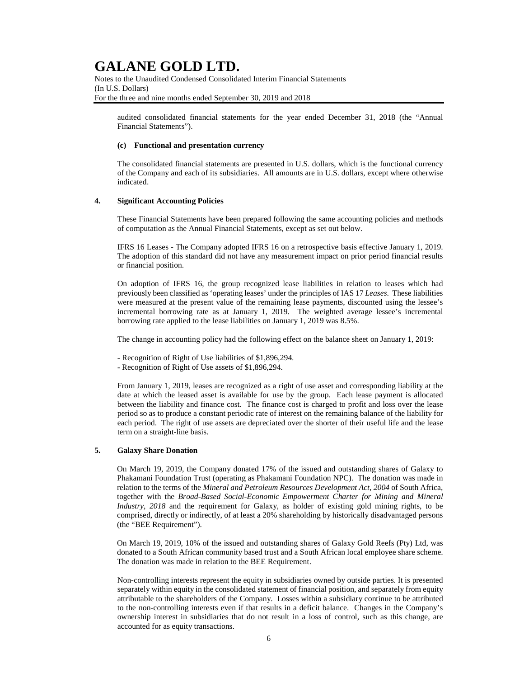Notes to the Unaudited Condensed Consolidated Interim Financial Statements (In U.S. Dollars) For the three and nine months ended September 30, 2019 and 2018

audited consolidated financial statements for the year ended December 31, 2018 (the "Annual Financial Statements").

#### **(c) Functional and presentation currency**

The consolidated financial statements are presented in U.S. dollars, which is the functional currency of the Company and each of its subsidiaries. All amounts are in U.S. dollars, except where otherwise indicated.

### **4. Significant Accounting Policies**

These Financial Statements have been prepared following the same accounting policies and methods of computation as the Annual Financial Statements, except as set out below.

IFRS 16 Leases - The Company adopted IFRS 16 on a retrospective basis effective January 1, 2019. The adoption of this standard did not have any measurement impact on prior period financial results or financial position.

On adoption of IFRS 16, the group recognized lease liabilities in relation to leases which had previously been classified as 'operating leases' under the principles of IAS 17 *Leases*. These liabilities were measured at the present value of the remaining lease payments, discounted using the lessee's incremental borrowing rate as at January 1, 2019. The weighted average lessee's incremental borrowing rate applied to the lease liabilities on January 1, 2019 was 8.5%.

The change in accounting policy had the following effect on the balance sheet on January 1, 2019:

- Recognition of Right of Use liabilities of \$1,896,294.
- Recognition of Right of Use assets of \$1,896,294.

From January 1, 2019, leases are recognized as a right of use asset and corresponding liability at the date at which the leased asset is available for use by the group. Each lease payment is allocated between the liability and finance cost. The finance cost is charged to profit and loss over the lease period so as to produce a constant periodic rate of interest on the remaining balance of the liability for each period. The right of use assets are depreciated over the shorter of their useful life and the lease term on a straight-line basis.

### **5. Galaxy Share Donation**

On March 19, 2019, the Company donated 17% of the issued and outstanding shares of Galaxy to Phakamani Foundation Trust (operating as Phakamani Foundation NPC). The donation was made in relation to the terms of the *Mineral and Petroleum Resources Development Act, 2004* of South Africa, together with the *Broad-Based Social-Economic Empowerment Charter for Mining and Mineral Industry, 2018* and the requirement for Galaxy, as holder of existing gold mining rights, to be comprised, directly or indirectly, of at least a 20% shareholding by historically disadvantaged persons (the "BEE Requirement").

On March 19, 2019, 10% of the issued and outstanding shares of Galaxy Gold Reefs (Pty) Ltd, was donated to a South African community based trust and a South African local employee share scheme. The donation was made in relation to the BEE Requirement.

Non-controlling interests represent the equity in subsidiaries owned by outside parties. It is presented separately within equity in the consolidated statement of financial position, and separately from equity attributable to the shareholders of the Company. Losses within a subsidiary continue to be attributed to the non-controlling interests even if that results in a deficit balance. Changes in the Company's ownership interest in subsidiaries that do not result in a loss of control, such as this change, are accounted for as equity transactions.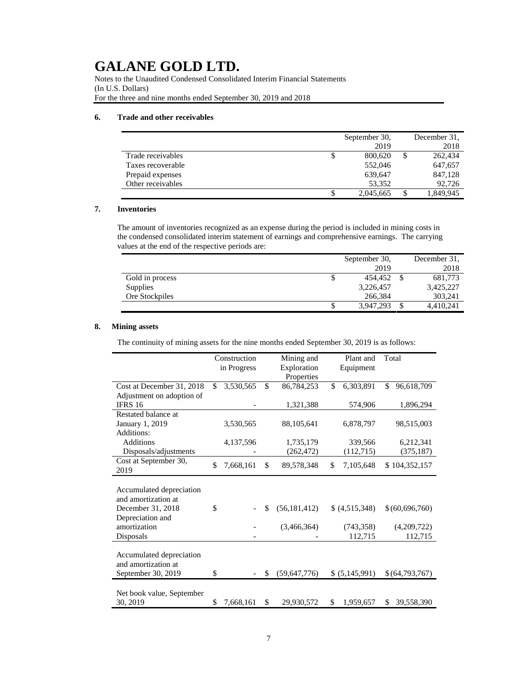Notes to the Unaudited Condensed Consolidated Interim Financial Statements (In U.S. Dollars) For the three and nine months ended September 30, 2019 and 2018

### **6. Trade and other receivables**

|                   | September 30,   |    | December 31. |
|-------------------|-----------------|----|--------------|
|                   | 2019            |    | 2018         |
| Trade receivables | \$<br>800,620   | \$ | 262,434      |
| Taxes recoverable | 552,046         |    | 647,657      |
| Prepaid expenses  | 639,647         |    | 847,128      |
| Other receivables | 53.352          |    | 92,726       |
|                   | \$<br>2,045,665 | S  | 1,849,945    |

### **7. Inventories**

The amount of inventories recognized as an expense during the period is included in mining costs in the condensed consolidated interim statement of earnings and comprehensive earnings. The carrying values at the end of the respective periods are:

|                 | September 30,   | December 31. |
|-----------------|-----------------|--------------|
|                 | 2019            | 2018         |
| Gold in process | \$<br>454,452   | 681,773      |
| Supplies        | 3,226,457       | 3,425,227    |
| Ore Stockpiles  | 266.384         | 303,241      |
|                 | \$<br>3,947,293 | 4,410,241    |

### **8. Mining assets**

The continuity of mining assets for the nine months ended September 30, 2019 is as follows:

|                           | Construction    |     | Mining and     | Plant and       | Total            |
|---------------------------|-----------------|-----|----------------|-----------------|------------------|
|                           | in Progress     |     | Exploration    | Equipment       |                  |
|                           |                 |     | Properties     |                 |                  |
| Cost at December 31, 2018 | \$<br>3,530,565 | \$  | 86,784,253     | \$<br>6,303,891 | \$<br>96,618,709 |
| Adjustment on adoption of |                 |     |                |                 |                  |
| <b>IFRS 16</b>            |                 |     | 1,321,388      | 574,906         | 1,896,294        |
| Restated balance at       |                 |     |                |                 |                  |
| January 1, 2019           | 3,530,565       |     | 88, 105, 641   | 6,878,797       | 98,515,003       |
| Additions:                |                 |     |                |                 |                  |
| <b>Additions</b>          | 4,137,596       |     | 1,735,179      | 339,566         | 6,212,341        |
| Disposals/adjustments     |                 |     | (262, 472)     | (112,715)       | (375, 187)       |
| Cost at September 30,     | \$<br>7,668,161 | \$  | 89,578,348     | \$<br>7,105,648 | \$104,352,157    |
| 2019                      |                 |     |                |                 |                  |
|                           |                 |     |                |                 |                  |
| Accumulated depreciation  |                 |     |                |                 |                  |
| and amortization at       |                 |     |                |                 |                  |
| December 31, 2018         | \$              | \$  | (56, 181, 412) | (4,515,348)     | \$(60,696,760)   |
| Depreciation and          |                 |     |                |                 |                  |
| amortization              |                 |     | (3,466,364)    | (743, 358)      | (4,209,722)      |
| Disposals                 |                 |     |                | 112,715         | 112,715          |
|                           |                 |     |                |                 |                  |
| Accumulated depreciation  |                 |     |                |                 |                  |
| and amortization at       |                 |     |                |                 |                  |
| September 30, 2019        | \$              | \$. | (59,647,776)   | \$ (5,145,991)  | \$(64,793,767)   |
|                           |                 |     |                |                 |                  |
| Net book value, September |                 |     |                |                 |                  |
| 30, 2019                  | \$<br>7,668,161 | \$  | 29,930,572     | \$<br>1,959,657 | 39,558,390<br>\$ |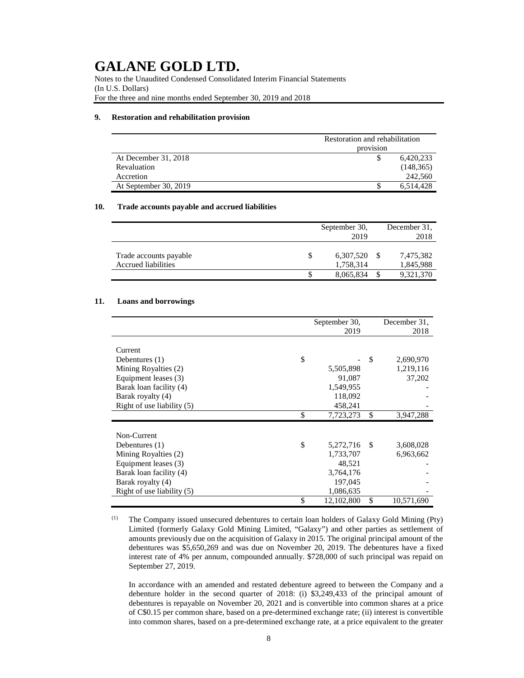Notes to the Unaudited Condensed Consolidated Interim Financial Statements (In U.S. Dollars) For the three and nine months ended September 30, 2019 and 2018

#### **9. Restoration and rehabilitation provision**

|                       | Restoration and rehabilitation |            |  |  |  |  |
|-----------------------|--------------------------------|------------|--|--|--|--|
|                       | provision                      |            |  |  |  |  |
| At December 31, 2018  |                                | 6,420,233  |  |  |  |  |
| Revaluation           |                                | (148, 365) |  |  |  |  |
| Accretion             |                                | 242,560    |  |  |  |  |
| At September 30, 2019 |                                | 6.514.428  |  |  |  |  |

### **10. Trade accounts payable and accrued liabilities**

|                                               |   | September 30,<br>2019  | December 31.<br>2018 |                        |  |
|-----------------------------------------------|---|------------------------|----------------------|------------------------|--|
| Trade accounts payable<br>Accrued liabilities | S | 6,307,520<br>1,758,314 |                      | 7,475,382<br>1,845,988 |  |
|                                               |   | 8,065,834              | £.                   | 9,321,370              |  |

### **11. Loans and borrowings**

|                              | September 30, |    | December 31. |
|------------------------------|---------------|----|--------------|
|                              | 2019          |    | 2018         |
|                              |               |    |              |
| Current                      |               |    |              |
| \$<br>Debentures $(1)$       |               | \$ | 2,690,970    |
| Mining Royalties (2)         | 5,505,898     |    | 1,219,116    |
| Equipment leases (3)         | 91,087        |    | 37,202       |
| Barak loan facility (4)      | 1,549,955     |    |              |
| Barak royalty (4)            | 118,092       |    |              |
| Right of use liability (5)   | 458,241       |    |              |
| \$                           | 7,723,273     | \$ | 3,947,288    |
|                              |               |    |              |
| Non-Current                  |               |    |              |
| \$<br>Debentures $(1)$       | 5,272,716     | S  | 3,608,028    |
| Mining Royalties (2)         | 1,733,707     |    | 6,963,662    |
| Equipment leases (3)         | 48,521        |    |              |
| Barak loan facility (4)      | 3,764,176     |    |              |
| Barak royalty (4)            | 197,045       |    |              |
| Right of use liability $(5)$ | 1,086,635     |    |              |
| \$                           | 12,102,800    | \$ | 10,571,690   |

(1) The Company issued unsecured debentures to certain loan holders of Galaxy Gold Mining (Pty) Limited (formerly Galaxy Gold Mining Limited, "Galaxy") and other parties as settlement of amounts previously due on the acquisition of Galaxy in 2015. The original principal amount of the debentures was \$5,650,269 and was due on November 20, 2019. The debentures have a fixed interest rate of 4% per annum, compounded annually. \$728,000 of such principal was repaid on September 27, 2019.

In accordance with an amended and restated debenture agreed to between the Company and a debenture holder in the second quarter of 2018: (i) \$3,249,433 of the principal amount of debentures is repayable on November 20, 2021 and is convertible into common shares at a price of C\$0.15 per common share, based on a pre-determined exchange rate; (ii) interest is convertible into common shares, based on a pre-determined exchange rate, at a price equivalent to the greater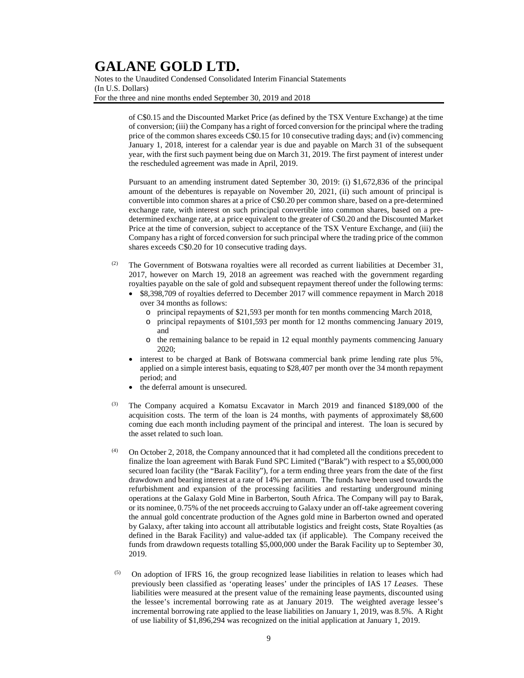Notes to the Unaudited Condensed Consolidated Interim Financial Statements (In U.S. Dollars) For the three and nine months ended September 30, 2019 and 2018

> of C\$0.15 and the Discounted Market Price (as defined by the TSX Venture Exchange) at the time of conversion; (iii) the Company has a right of forced conversion for the principal where the trading price of the common shares exceeds C\$0.15 for 10 consecutive trading days; and (iv) commencing January 1, 2018, interest for a calendar year is due and payable on March 31 of the subsequent year, with the first such payment being due on March 31, 2019. The first payment of interest under the rescheduled agreement was made in April, 2019.

> Pursuant to an amending instrument dated September 30, 2019: (i) \$1,672,836 of the principal amount of the debentures is repayable on November 20, 2021, (ii) such amount of principal is convertible into common shares at a price of C\$0.20 per common share, based on a pre-determined exchange rate, with interest on such principal convertible into common shares, based on a predetermined exchange rate, at a price equivalent to the greater of C\$0.20 and the Discounted Market Price at the time of conversion, subject to acceptance of the TSX Venture Exchange, and (iii) the Company has a right of forced conversion for such principal where the trading price of the common shares exceeds C\$0.20 for 10 consecutive trading days.

- $(2)$  The Government of Botswana royalties were all recorded as current liabilities at December 31, 2017, however on March 19, 2018 an agreement was reached with the government regarding royalties payable on the sale of gold and subsequent repayment thereof under the following terms:
	- \$8,398,709 of royalties deferred to December 2017 will commence repayment in March 2018 over 34 months as follows:
		- o principal repayments of \$21,593 per month for ten months commencing March 2018,
		- o principal repayments of \$101,593 per month for 12 months commencing January 2019, and
		- o the remaining balance to be repaid in 12 equal monthly payments commencing January 2020;
	- interest to be charged at Bank of Botswana commercial bank prime lending rate plus 5%, applied on a simple interest basis, equating to \$28,407 per month over the 34 month repayment period; and
	- the deferral amount is unsecured.
- The Company acquired a Komatsu Excavator in March 2019 and financed \$189,000 of the acquisition costs. The term of the loan is 24 months, with payments of approximately \$8,600 coming due each month including payment of the principal and interest. The loan is secured by the asset related to such loan.
- $(4)$  On October 2, 2018, the Company announced that it had completed all the conditions precedent to finalize the loan agreement with Barak Fund SPC Limited ("Barak") with respect to a \$5,000,000 secured loan facility (the "Barak Facility"), for a term ending three years from the date of the first drawdown and bearing interest at a rate of 14% per annum. The funds have been used towards the refurbishment and expansion of the processing facilities and restarting underground mining operations at the Galaxy Gold Mine in Barberton, South Africa. The Company will pay to Barak, or its nominee, 0.75% of the net proceeds accruing to Galaxy under an off-take agreement covering the annual gold concentrate production of the Agnes gold mine in Barberton owned and operated by Galaxy, after taking into account all attributable logistics and freight costs, State Royalties (as defined in the Barak Facility) and value-added tax (if applicable). The Company received the funds from drawdown requests totalling \$5,000,000 under the Barak Facility up to September 30, 2019.
- (5) On adoption of IFRS 16, the group recognized lease liabilities in relation to leases which had previously been classified as 'operating leases' under the principles of IAS 17 *Leases*. These liabilities were measured at the present value of the remaining lease payments, discounted using the lessee's incremental borrowing rate as at January 2019. The weighted average lessee's incremental borrowing rate applied to the lease liabilities on January 1, 2019, was 8.5%. A Right of use liability of \$1,896,294 was recognized on the initial application at January 1, 2019.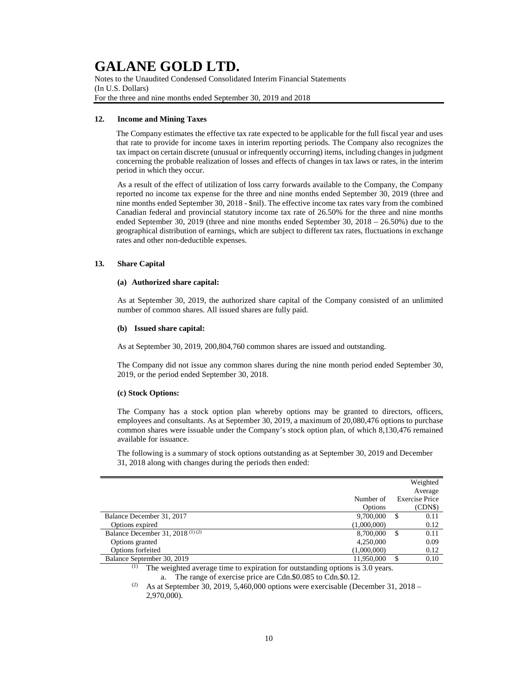Notes to the Unaudited Condensed Consolidated Interim Financial Statements (In U.S. Dollars) For the three and nine months ended September 30, 2019 and 2018

### **12. Income and Mining Taxes**

The Company estimates the effective tax rate expected to be applicable for the full fiscal year and uses that rate to provide for income taxes in interim reporting periods. The Company also recognizes the tax impact on certain discrete (unusual or infrequently occurring) items, including changes in judgment concerning the probable realization of losses and effects of changes in tax laws or rates, in the interim period in which they occur.

As a result of the effect of utilization of loss carry forwards available to the Company, the Company reported no income tax expense for the three and nine months ended September 30, 2019 (three and nine months ended September 30, 2018 - \$nil). The effective income tax rates vary from the combined Canadian federal and provincial statutory income tax rate of 26.50% for the three and nine months ended September 30, 2019 (three and nine months ended September 30, 2018 – 26.50%) due to the geographical distribution of earnings, which are subject to different tax rates, fluctuations in exchange rates and other non-deductible expenses.

### **13. Share Capital**

### **(a) Authorized share capital:**

As at September 30, 2019, the authorized share capital of the Company consisted of an unlimited number of common shares. All issued shares are fully paid.

### **(b) Issued share capital:**

As at September 30, 2019, 200,804,760 common shares are issued and outstanding.

The Company did not issue any common shares during the nine month period ended September 30, 2019, or the period ended September 30, 2018.

#### **(c) Stock Options:**

The Company has a stock option plan whereby options may be granted to directors, officers, employees and consultants. As at September 30, 2019, a maximum of 20,080,476 options to purchase common shares were issuable under the Company's stock option plan, of which 8,130,476 remained available for issuance.

The following is a summary of stock options outstanding as at September 30, 2019 and December 31, 2018 along with changes during the periods then ended:

|                                    |             | Weighted              |
|------------------------------------|-------------|-----------------------|
|                                    |             | Average               |
|                                    | Number of   | <b>Exercise Price</b> |
|                                    | Options     | (CDN\$)               |
| Balance December 31, 2017          | 9,700,000   | 0.11<br>S             |
| Options expired                    | (1,000,000) | 0.12                  |
| Balance December 31, 2018 $(1)(2)$ | 8,700,000   | 0.11<br>S             |
| Options granted                    | 4,250,000   | 0.09                  |
| Options forfeited                  | (1,000,000) | 0.12                  |
| Balance September 30, 2019         | 11,950,000  | 0.10                  |

(1) The weighted average time to expiration for outstanding options is 3.0 years. a. The range of exercise price are Cdn.\$0.085 to Cdn.\$0.12.

<sup>(2)</sup> As at September 30, 2019, 5,460,000 options were exercisable (December 31, 2018 – 2,970,000).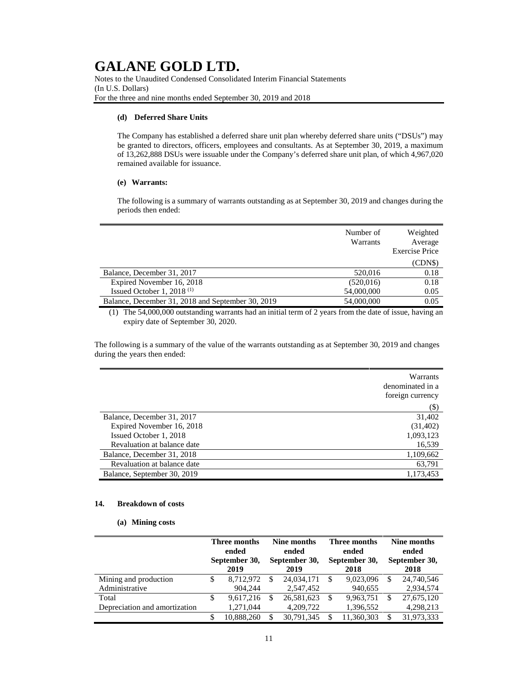Notes to the Unaudited Condensed Consolidated Interim Financial Statements (In U.S. Dollars) For the three and nine months ended September 30, 2019 and 2018

### **(d) Deferred Share Units**

The Company has established a deferred share unit plan whereby deferred share units ("DSUs") may be granted to directors, officers, employees and consultants. As at September 30, 2019, a maximum of 13,262,888 DSUs were issuable under the Company's deferred share unit plan, of which 4,967,020 remained available for issuance.

### **(e) Warrants:**

The following is a summary of warrants outstanding as at September 30, 2019 and changes during the periods then ended:

|                                                   | Number of<br>Warrants | Weighted<br>Average<br><b>Exercise Price</b> |
|---------------------------------------------------|-----------------------|----------------------------------------------|
|                                                   |                       | (CDNS)                                       |
| Balance, December 31, 2017                        | 520,016               | 0.18                                         |
| Expired November 16, 2018                         | (520,016)             | 0.18                                         |
| Issued October 1, 2018 $(1)$                      | 54,000,000            | 0.05                                         |
| Balance, December 31, 2018 and September 30, 2019 | 54,000,000            | 0.05                                         |

(1) The 54,000,000 outstanding warrants had an initial term of 2 years from the date of issue, having an expiry date of September 30, 2020.

The following is a summary of the value of the warrants outstanding as at September 30, 2019 and changes during the years then ended:

|                             | Warrants<br>denominated in a |
|-----------------------------|------------------------------|
|                             | foreign currency             |
|                             | (\$)                         |
| Balance, December 31, 2017  | 31,402                       |
| Expired November 16, 2018   | (31, 402)                    |
| Issued October 1, 2018      | 1,093,123                    |
| Revaluation at balance date | 16,539                       |
| Balance, December 31, 2018  | 1,109,662                    |
| Revaluation at balance date | 63,791                       |
| Balance, September 30, 2019 | 1,173,453                    |

### **14. Breakdown of costs**

#### **(a) Mining costs**

|                               |   | Three months<br>ended<br>September 30,<br>2019 |              | Nine months<br>ended<br>September 30,<br>2019 |   | Three months<br>ended<br>September 30,<br>2018 |   | Nine months<br>ended<br>September 30,<br>2018 |  |
|-------------------------------|---|------------------------------------------------|--------------|-----------------------------------------------|---|------------------------------------------------|---|-----------------------------------------------|--|
| Mining and production         | S | 8.712.972                                      | \$.          | 24,034,171                                    | S | 9.023.096                                      | S | 24,740,546                                    |  |
| Administrative                |   | 904.244                                        |              | 2,547,452                                     |   | 940,655                                        |   | 2,934,574                                     |  |
| Total                         | S | 9.617.216                                      | <sup>S</sup> | 26,581,623                                    | S | 9.963.751                                      | S | 27,675,120                                    |  |
| Depreciation and amortization |   | 1,271,044                                      |              | 4,209,722                                     |   | 1,396,552                                      |   | 4,298,213                                     |  |
|                               |   | 10.888.260                                     | S            | 30.791.345                                    |   | 11.360.303                                     |   | 31,973,333                                    |  |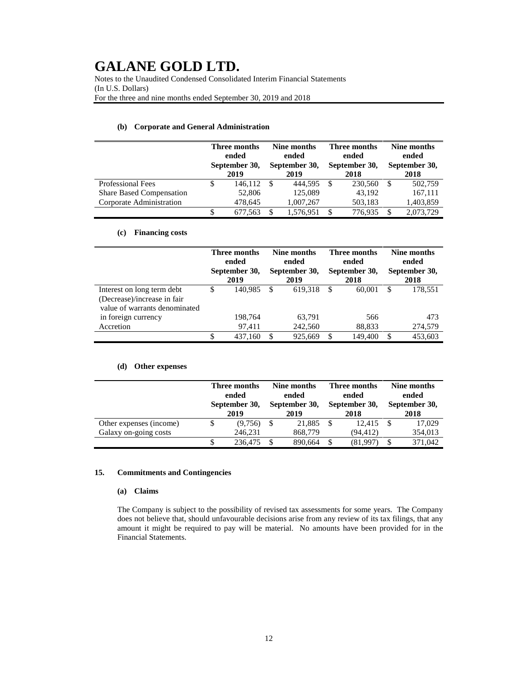Notes to the Unaudited Condensed Consolidated Interim Financial Statements (In U.S. Dollars) For the three and nine months ended September 30, 2019 and 2018

|                                 | Three months<br>ended<br>September 30,<br>2019 |    | Nine months<br>ended<br>September 30,<br>2019 |    | Three months<br>ended<br>September 30,<br>2018 |   | Nine months<br>ended<br>September 30,<br>2018 |  |
|---------------------------------|------------------------------------------------|----|-----------------------------------------------|----|------------------------------------------------|---|-----------------------------------------------|--|
| <b>Professional Fees</b>        | 146.112                                        | -8 | 444.595                                       | S. | 230,560                                        | S | 502,759                                       |  |
| <b>Share Based Compensation</b> | 52,806                                         |    | 125,089                                       |    | 43.192                                         |   | 167,111                                       |  |
| Corporate Administration        | 478,645                                        |    | 1,007,267                                     |    | 503,183                                        |   | 1,403,859                                     |  |
|                                 | 677.563                                        |    | 1,576,951                                     |    | 776,935                                        |   | 2,073,729                                     |  |

### **(b) Corporate and General Administration**

### **(c) Financing costs**

|                               | Three months<br>ended<br>September 30,<br>2019 |         | Nine months<br>ended<br>September 30,<br>2019 |         | Three months<br>ended<br>September 30,<br>2018 |         | Nine months<br>ended<br>September 30,<br>2018 |         |
|-------------------------------|------------------------------------------------|---------|-----------------------------------------------|---------|------------------------------------------------|---------|-----------------------------------------------|---------|
| Interest on long term debt    | S                                              | 140.985 | S                                             | 619.318 | S                                              | 60,001  | S                                             | 178.551 |
| (Decrease)/increase in fair   |                                                |         |                                               |         |                                                |         |                                               |         |
| value of warrants denominated |                                                |         |                                               |         |                                                |         |                                               |         |
| in foreign currency           |                                                | 198.764 |                                               | 63,791  |                                                | 566     |                                               | 473     |
| Accretion                     |                                                | 97.411  |                                               | 242,560 |                                                | 88,833  |                                               | 274,579 |
|                               | \$                                             | 437.160 | S                                             | 925.669 | \$                                             | 149,400 | S                                             | 453.603 |

### **(d) Other expenses**

|                         | Three months<br>ended<br>September 30,<br>2019 |  | Nine months<br>ended<br>September 30,<br>2019 |  | Three months<br>ended<br>September 30,<br>2018 |  | Nine months<br>ended<br>September 30,<br>2018 |  |
|-------------------------|------------------------------------------------|--|-----------------------------------------------|--|------------------------------------------------|--|-----------------------------------------------|--|
| Other expenses (income) | (9,756)                                        |  | 21,885                                        |  | 12.415                                         |  | 17,029                                        |  |
| Galaxy on-going costs   | 246,231                                        |  | 868,779                                       |  | (94, 412)                                      |  | 354,013                                       |  |
|                         | 236,475                                        |  | 890.664                                       |  | (81,997)                                       |  | 371,042                                       |  |

### **15. Commitments and Contingencies**

### **(a) Claims**

The Company is subject to the possibility of revised tax assessments for some years. The Company does not believe that, should unfavourable decisions arise from any review of its tax filings, that any amount it might be required to pay will be material. No amounts have been provided for in the Financial Statements.